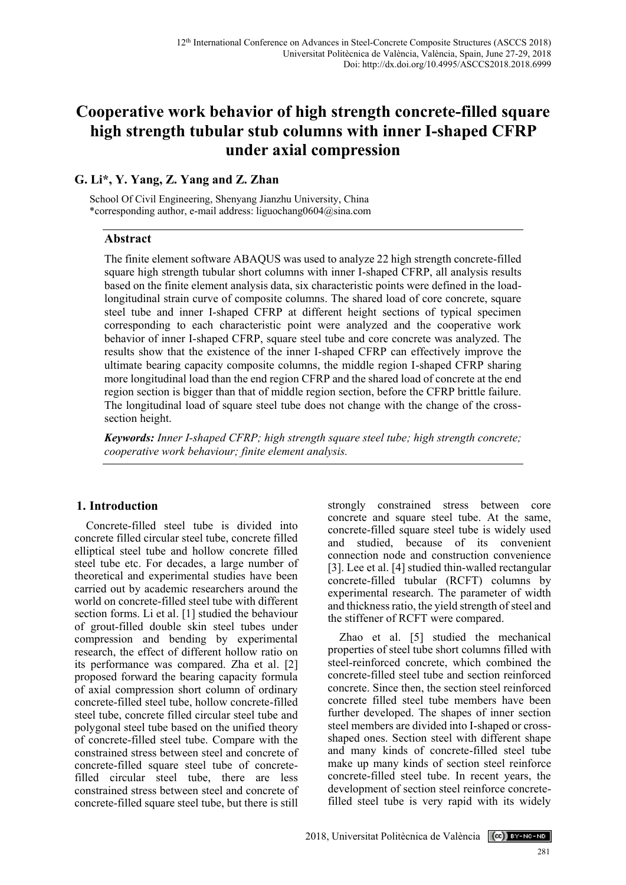# **Cooperative work behavior of high strength concrete-filled square high strength tubular stub columns with inner I-shaped CFRP under axial compression**

# **G. Li\*, Y. Yang, Z. Yang and Z. Zhan**

School Of Civil Engineering, Shenyang Jianzhu University, China \*corresponding author, e-mail address: liguochang0604@sina.com

# **Abstract**

The finite element software ABAQUS was used to analyze 22 high strength concrete-filled square high strength tubular short columns with inner I-shaped CFRP, all analysis results based on the finite element analysis data, six characteristic points were defined in the loadlongitudinal strain curve of composite columns. The shared load of core concrete, square steel tube and inner I-shaped CFRP at different height sections of typical specimen corresponding to each characteristic point were analyzed and the cooperative work behavior of inner I-shaped CFRP, square steel tube and core concrete was analyzed. The results show that the existence of the inner I-shaped CFRP can effectively improve the ultimate bearing capacity composite columns, the middle region I-shaped CFRP sharing more longitudinal load than the end region CFRP and the shared load of concrete at the end region section is bigger than that of middle region section, before the CFRP brittle failure. The longitudinal load of square steel tube does not change with the change of the crosssection height.

*Keywords: Inner I-shaped CFRP; high strength square steel tube; high strength concrete; cooperative work behaviour; finite element analysis.*

# **1. Introduction**

Concrete-filled steel tube is divided into concrete filled circular steel tube, concrete filled elliptical steel tube and hollow concrete filled steel tube etc. For decades, a large number of theoretical and experimental studies have been carried out by academic researchers around the world on concrete-filled steel tube with different section forms. Li et al. [1] studied the behaviour of grout-filled double skin steel tubes under compression and bending by experimental research, the effect of different hollow ratio on its performance was compared. Zha et al. [2] proposed forward the bearing capacity formula of axial compression short column of ordinary concrete-filled steel tube, hollow concrete-filled steel tube, concrete filled circular steel tube and polygonal steel tube based on the unified theory of concrete-filled steel tube. Compare with the constrained stress between steel and concrete of concrete-filled square steel tube of concretefilled circular steel tube, there are less constrained stress between steel and concrete of concrete-filled square steel tube, but there is still strongly constrained stress between core concrete and square steel tube. At the same, concrete-filled square steel tube is widely used and studied, because of its convenient connection node and construction convenience [3]. Lee et al. [4] studied thin-walled rectangular concrete-filled tubular (RCFT) columns by experimental research. The parameter of width and thickness ratio, the yield strength of steel and the stiffener of RCFT were compared.

Zhao et al. [5] studied the mechanical properties of steel tube short columns filled with steel-reinforced concrete, which combined the concrete-filled steel tube and section reinforced concrete. Since then, the section steel reinforced concrete filled steel tube members have been further developed. The shapes of inner section steel members are divided into I-shaped or crossshaped ones. Section steel with different shape and many kinds of concrete-filled steel tube make up many kinds of section steel reinforce concrete-filled steel tube. In recent years, the development of section steel reinforce concretefilled steel tube is very rapid with its widely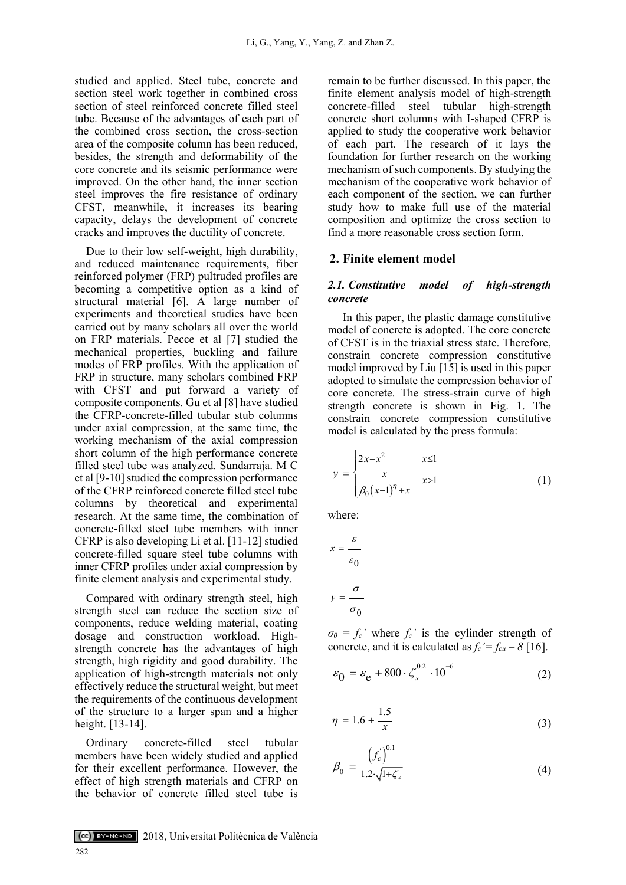studied and applied. Steel tube, concrete and section steel work together in combined cross section of steel reinforced concrete filled steel tube. Because of the advantages of each part of the combined cross section, the cross-section area of the composite column has been reduced, besides, the strength and deformability of the core concrete and its seismic performance were improved. On the other hand, the inner section steel improves the fire resistance of ordinary CFST, meanwhile, it increases its bearing capacity, delays the development of concrete cracks and improves the ductility of concrete.

Due to their low self-weight, high durability, and reduced maintenance requirements, fiber reinforced polymer (FRP) pultruded profiles are becoming a competitive option as a kind of structural material [6]. A large number of experiments and theoretical studies have been carried out by many scholars all over the world on FRP materials. Pecce et al [7] studied the mechanical properties, buckling and failure modes of FRP profiles. With the application of FRP in structure, many scholars combined FRP with CFST and put forward a variety of composite components. Gu et al [8] have studied the CFRP-concrete-filled tubular stub columns under axial compression, at the same time, the working mechanism of the axial compression short column of the high performance concrete filled steel tube was analyzed. Sundarraja. M C et al [9-10] studied the compression performance of the CFRP reinforced concrete filled steel tube columns by theoretical and experimental research. At the same time, the combination of concrete-filled steel tube members with inner CFRP is also developing Li et al. [11-12] studied concrete-filled square steel tube columns with inner CFRP profiles under axial compression by finite element analysis and experimental study.

Compared with ordinary strength steel, high strength steel can reduce the section size of components, reduce welding material, coating dosage and construction workload. Highstrength concrete has the advantages of high strength, high rigidity and good durability. The application of high-strength materials not only effectively reduce the structural weight, but meet the requirements of the continuous development of the structure to a larger span and a higher height. [13-14].

Ordinary concrete-filled steel tubular members have been widely studied and applied for their excellent performance. However, the effect of high strength materials and CFRP on the behavior of concrete filled steel tube is

remain to be further discussed. In this paper, the finite element analysis model of high-strength concrete-filled steel tubular high-strength concrete short columns with I-shaped CFRP is applied to study the cooperative work behavior of each part. The research of it lays the foundation for further research on the working mechanism of such components. By studying the mechanism of the cooperative work behavior of each component of the section, we can further study how to make full use of the material composition and optimize the cross section to find a more reasonable cross section form.

# **2. Finite element model**

# *2.1. Constitutive model of high-strength concrete*

In this paper, the plastic damage constitutive model of concrete is adopted. The core concrete of CFST is in the triaxial stress state. Therefore, constrain concrete compression constitutive model improved by Liu [15] is used in this paper adopted to simulate the compression behavior of core concrete. The stress-strain curve of high strength concrete is shown in Fig. 1. The constrain concrete compression constitutive model is calculated by the press formula:

$$
y = \begin{cases} 2x - x^2 & x \le 1 \\ \frac{x}{\beta_0 (x - 1)^7 + x} & x > 1 \end{cases}
$$
 (1)

where:

$$
x = \frac{\varepsilon}{\varepsilon_0}
$$

$$
y = \frac{\sigma}{\sigma_0}
$$

 $\sigma_0 = f_c'$  where  $f_c'$  is the cylinder strength of concrete, and it is calculated as  $f_c' = f_{cu} - \delta$  [16].

$$
\varepsilon_0 = \varepsilon_e + 800 \cdot \zeta_s^{0.2} \cdot 10^{-6}
$$
 (2)

$$
\eta = 1.6 + \frac{1.5}{x} \tag{3}
$$

$$
\beta_0 = \frac{\left(f_c\right)^{0.1}}{1.2\sqrt{1+\zeta_s}}
$$
\n(4)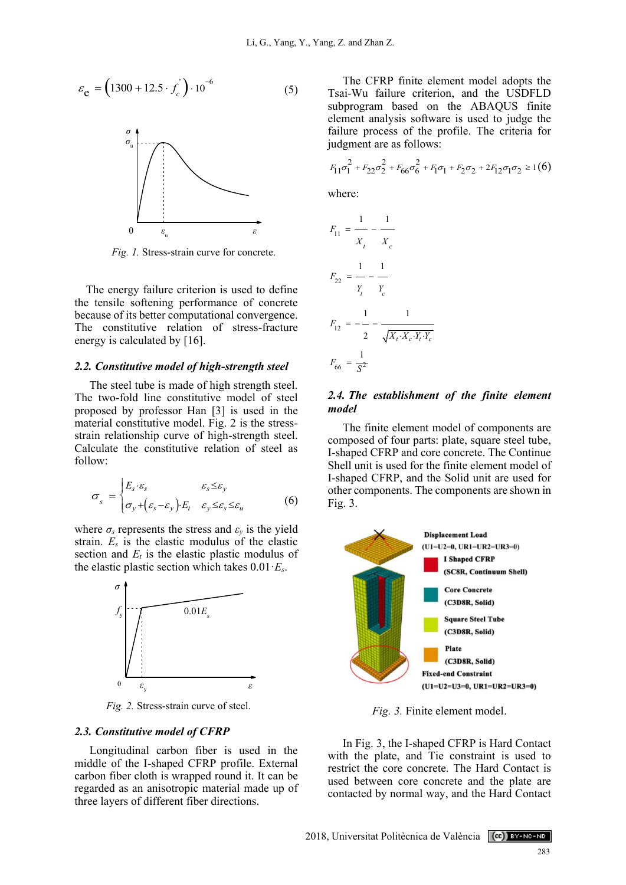$$
\varepsilon_{\mathbf{e}} = (1300 + 12.5 \cdot f_c^{'} ) \cdot 10^{-6} \tag{5}
$$



*Fig. 1.* Stress-strain curve for concrete.

The energy failure criterion is used to define the tensile softening performance of concrete because of its better computational convergence. The constitutive relation of stress-fracture energy is calculated by [16].

### *2.2. Constitutive model of high-strength steel*

The steel tube is made of high strength steel. The two-fold line constitutive model of steel proposed by professor Han [3] is used in the material constitutive model. Fig. 2 is the stressstrain relationship curve of high-strength steel. Calculate the constitutive relation of steel as follow:

$$
\sigma_{s} = \begin{cases} E_{s} \cdot \varepsilon_{s} & \varepsilon_{s} \leq \varepsilon_{y} \\ \sigma_{y} + (\varepsilon_{s} - \varepsilon_{y}) \cdot E_{t} & \varepsilon_{y} \leq \varepsilon_{s} \leq \varepsilon_{u} \end{cases}
$$
 (6)

where  $\sigma_s$  represents the stress and  $\varepsilon_y$  is the yield strain. *E<sup>s</sup>* is the elastic modulus of the elastic section and  $E_t$  is the elastic plastic modulus of the elastic plastic section which takes 0.01·*Es*.



*Fig. 2.* Stress-strain curve of steel.

#### *2.3. Constitutive model of CFRP*

Longitudinal carbon fiber is used in the middle of the I-shaped CFRP profile. External carbon fiber cloth is wrapped round it. It can be regarded as an anisotropic material made up of three layers of different fiber directions.

The CFRP finite element model adopts the Tsai-Wu failure criterion, and the USDFLD subprogram based on the ABAQUS finite element analysis software is used to judge the failure process of the profile. The criteria for judgment are as follows:

$$
F_{11}\sigma_1^2 + F_{22}\sigma_2^2 + F_{66}\sigma_6^2 + F_1\sigma_1 + F_2\sigma_2 + 2F_{12}\sigma_1\sigma_2 \ge 1(6)
$$
  
where:  

$$
F_{11} = \frac{1}{X_t} - \frac{1}{X_c}
$$
  
crete.  

$$
1 - 1
$$

$$
F_{22} = - - \frac{1}{Y_t - Y_c}
$$
  

$$
F_{12} = - - \frac{1}{2 - \sqrt{X_t \cdot X_c \cdot Y_t \cdot Y_c}}
$$
  

$$
F_{66} = \frac{1}{S^2}
$$

*F* =

# *2.4. The establishment of the finite element model*

The finite element model of components are composed of four parts: plate, square steel tube, I-shaped CFRP and core concrete. The Continue Shell unit is used for the finite element model of I-shaped CFRP, and the Solid unit are used for other components. The components are shown in Fig. 3.



*Fig. 3.* Finite element model.

In Fig. 3, the I-shaped CFRP is Hard Contact with the plate, and Tie constraint is used to restrict the core concrete. The Hard Contact is used between core concrete and the plate are contacted by normal way, and the Hard Contact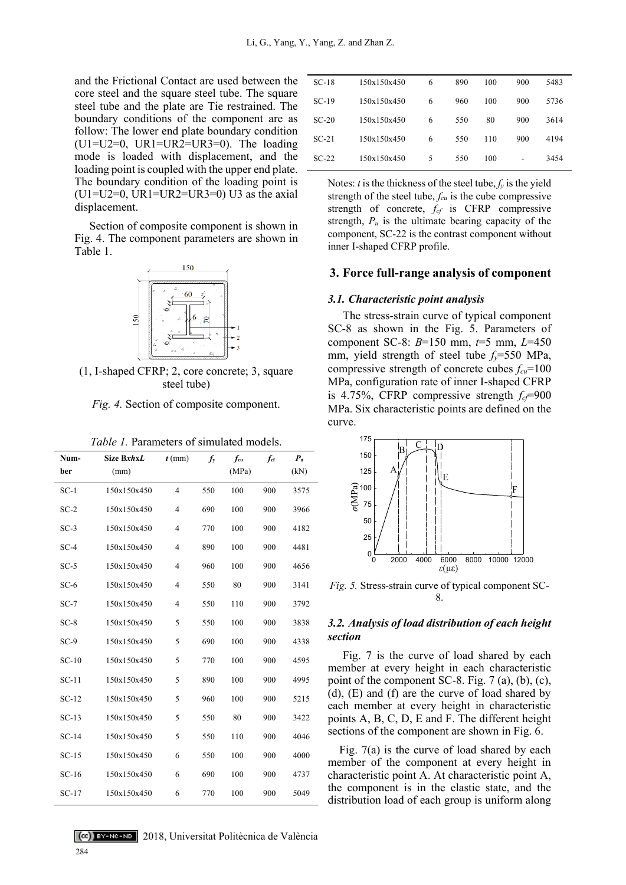and the Frictional Contact are used between the core steel and the square steel tube. The square steel tube and the plate are Tie restrained. The boundary conditions of the component are as follow: The lower end plate boundary condition ( $U1=U2=0$ ,  $UR1=UR2=UR3=0$ ). The loading mode is loaded with displacement, and the loading point is coupled with the upper end plate. The boundary condition of the loading point is ( $U1=U2=0$ ,  $UR1=UR2=UR3=0$ ) U3 as the axial displacement.

Section of composite component is shown in Fig. 4. The component parameters are shown in Table 1.



(1, I-shaped CFRP; 2, core concrete; 3, square steel tube)

*Fig. 4.* Section of composite component.

| Num-    | Size BxhxL  | $t$ (mm)       | $f_{y}$ | $f_{\rm cu}$ | $f_{\rm cf}$ | $P_{\rm u}$ |
|---------|-------------|----------------|---------|--------------|--------------|-------------|
| ber     | (mm)        |                |         | (MPa)        |              | (kN)        |
| $SC-1$  | 150x150x450 | $\overline{4}$ | 550     | 100          | 900          | 3575        |
| $SC-2$  | 150x150x450 | 4              | 690     | 100          | 900          | 3966        |
| $SC-3$  | 150x150x450 | 4              | 770     | 100          | 900          | 4182        |
| $SC-4$  | 150x150x450 | 4              | 890     | 100          | 900          | 4481        |
| $SC-5$  | 150x150x450 | 4              | 960     | 100          | 900          | 4656        |
| $SC-6$  | 150x150x450 | 4              | 550     | 80           | 900          | 3141        |
| $SC-7$  | 150x150x450 | 4              | 550     | 110          | 900          | 3792        |
| $SC-8$  | 150x150x450 | 5              | 550     | 100          | 900          | 3838        |
| $SC-9$  | 150x150x450 | 5              | 690     | 100          | 900          | 4338        |
| $SC-10$ | 150x150x450 | 5              | 770     | 100          | 900          | 4595        |
| $SC-11$ | 150x150x450 | 5              | 890     | 100          | 900          | 4995        |
| $SC-12$ | 150x150x450 | 5              | 960     | 100          | 900          | 5215        |
| $SC-13$ | 150x150x450 | 5              | 550     | 80           | 900          | 3422        |
| $SC-14$ | 150x150x450 | 5              | 550     | 110          | 900          | 4046        |
| $SC-15$ | 150x150x450 | 6              | 550     | 100          | 900          | 4000        |
| $SC-16$ | 150x150x450 | 6              | 690     | 100          | 900          | 4737        |
| $SC-17$ | 150x150x450 | 6              | 770     | 100          | 900          | 5049        |

284

| $SC-18$ | 150x150x450 | 6 | 890 | 100 | 900 | 5483 |
|---------|-------------|---|-----|-----|-----|------|
| $SC-19$ | 150x150x450 | 6 | 960 | 100 | 900 | 5736 |
| $SC-20$ | 150x150x450 | 6 | 550 | 80  | 900 | 3614 |
| $SC-21$ | 150x150x450 | 6 | 550 | 110 | 900 | 4194 |
| $SC-22$ | 150x150x450 | 5 | 550 | 100 | ۰   | 3454 |
|         |             |   |     |     |     |      |

Notes: *t* is the thickness of the steel tube,  $f_y$  is the yield strength of the steel tube, *fcu* is the cube compressive strength of concrete, *fcf* is CFRP compressive strength,  $P_u$  is the ultimate bearing capacity of the component, SC-22 is the contrast component without inner I-shaped CFRP profile.

# **3. Force full-range analysis of component**

### *3.1. Characteristic point analysis*

The stress-strain curve of typical component SC-8 as shown in the Fig. 5. Parameters of component SC-8: *B*=150 mm, *t*=5 mm, *L*=450 mm, yield strength of steel tube *fy*=550 MPa, compressive strength of concrete cubes *fcu*=100 MPa, configuration rate of inner I-shaped CFRP is 4.75%, CFRP compressive strength  $f_c = 900$ MPa. Six characteristic points are defined on the curve.



*Fig. 5.* Stress-strain curve of typical component SC-8.

# *3.2. Analysis of load distribution of each height section*

Fig. 7 is the curve of load shared by each member at every height in each characteristic point of the component SC-8. Fig.  $7$  (a), (b), (c), (d), (E) and (f) are the curve of load shared by each member at every height in characteristic points A, B, C, D, E and F. The different height sections of the component are shown in Fig. 6.

Fig. 7(a) is the curve of load shared by each member of the component at every height in characteristic point A. At characteristic point A, the component is in the elastic state, and the distribution load of each group is uniform along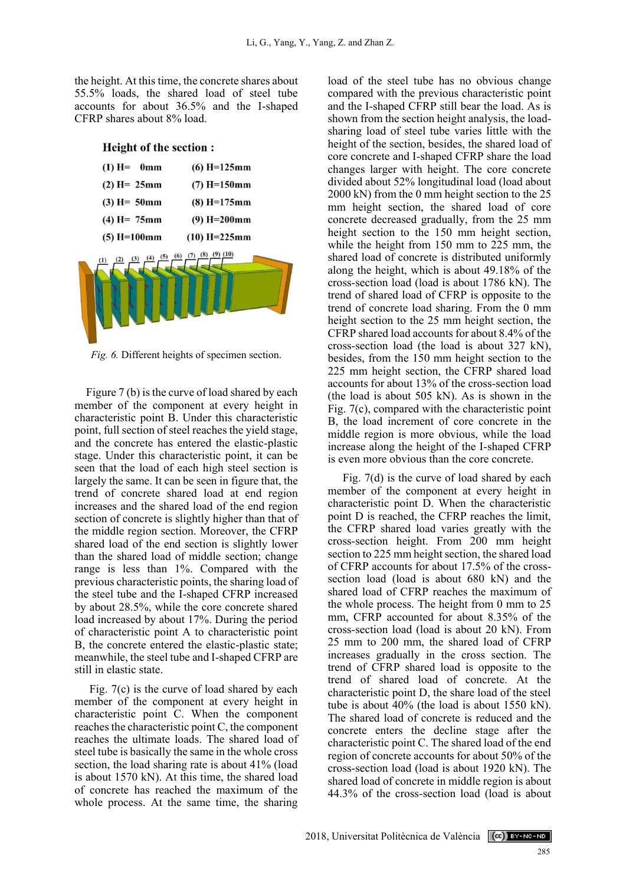the height. At this time, the concrete shares about 55.5% loads, the shared load of steel tube accounts for about 36.5% and the I-shaped CFRP shares about 8% load.

**Height of the section:**  $(1) H = 0mm$  $(6) H = 125 mm$  $(2) H = 25 mm$  $(7) H=150mm$  $(3) H = 50 mm$  $(8) H = 175 mm$  $(4) H = 75 mm$  $(9) H = 200$ mm  $(5) H=100mm$  $(10) H = 225 mm$ 

*Fig. 6.* Different heights of specimen section.

Figure 7 (b) is the curve of load shared by each member of the component at every height in characteristic point B. Under this characteristic point, full section of steel reaches the yield stage, and the concrete has entered the elastic-plastic stage. Under this characteristic point, it can be seen that the load of each high steel section is largely the same. It can be seen in figure that, the trend of concrete shared load at end region increases and the shared load of the end region section of concrete is slightly higher than that of the middle region section. Moreover, the CFRP shared load of the end section is slightly lower than the shared load of middle section; change range is less than 1%. Compared with the previous characteristic points, the sharing load of the steel tube and the I-shaped CFRP increased by about 28.5%, while the core concrete shared load increased by about 17%. During the period of characteristic point A to characteristic point B, the concrete entered the elastic-plastic state; meanwhile, the steel tube and I-shaped CFRP are still in elastic state.

Fig. 7(c) is the curve of load shared by each member of the component at every height in characteristic point C. When the component reaches the characteristic point C, the component reaches the ultimate loads. The shared load of steel tube is basically the same in the whole cross section, the load sharing rate is about 41% (load is about 1570 kN). At this time, the shared load of concrete has reached the maximum of the whole process. At the same time, the sharing load of the steel tube has no obvious change compared with the previous characteristic point and the I-shaped CFRP still bear the load. As is shown from the section height analysis, the loadsharing load of steel tube varies little with the height of the section, besides, the shared load of core concrete and I-shaped CFRP share the load changes larger with height. The core concrete divided about 52% longitudinal load (load about 2000 kN) from the 0 mm height section to the 25 mm height section, the shared load of core concrete decreased gradually, from the 25 mm height section to the 150 mm height section, while the height from 150 mm to 225 mm, the shared load of concrete is distributed uniformly along the height, which is about 49.18% of the cross-section load (load is about 1786 kN). The trend of shared load of CFRP is opposite to the trend of concrete load sharing. From the 0 mm height section to the 25 mm height section, the CFRP shared load accounts for about 8.4% of the cross-section load (the load is about 327 kN), besides, from the 150 mm height section to the 225 mm height section, the CFRP shared load accounts for about 13% of the cross-section load (the load is about 505 kN). As is shown in the Fig. 7(c), compared with the characteristic point B, the load increment of core concrete in the middle region is more obvious, while the load increase along the height of the I-shaped CFRP is even more obvious than the core concrete.

Fig. 7(d) is the curve of load shared by each member of the component at every height in characteristic point D. When the characteristic point D is reached, the CFRP reaches the limit, the CFRP shared load varies greatly with the cross-section height. From 200 mm height section to 225 mm height section, the shared load of CFRP accounts for about 17.5% of the crosssection load (load is about 680 kN) and the shared load of CFRP reaches the maximum of the whole process. The height from 0 mm to 25 mm, CFRP accounted for about 8.35% of the cross-section load (load is about 20 kN). From 25 mm to 200 mm, the shared load of CFRP increases gradually in the cross section. The trend of CFRP shared load is opposite to the trend of shared load of concrete. At the characteristic point D, the share load of the steel tube is about 40% (the load is about 1550 kN). The shared load of concrete is reduced and the concrete enters the decline stage after the characteristic point C. The shared load of the end region of concrete accounts for about 50% of the cross-section load (load is about 1920 kN). The shared load of concrete in middle region is about 44.3% of the cross-section load (load is about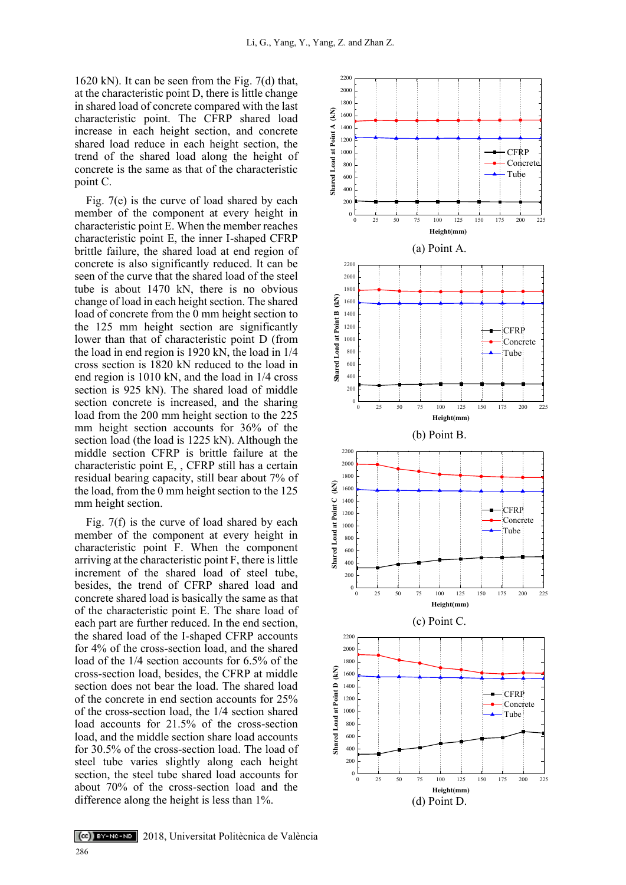1620 kN). It can be seen from the Fig. 7(d) that, at the characteristic point D, there is little change in shared load of concrete compared with the last characteristic point. The CFRP shared load increase in each height section, and concrete shared load reduce in each height section, the trend of the shared load along the height of concrete is the same as that of the characteristic point C.

Fig. 7(e) is the curve of load shared by each member of the component at every height in characteristic point E. When the member reaches characteristic point E, the inner I-shaped CFRP brittle failure, the shared load at end region of concrete is also significantly reduced. It can be seen of the curve that the shared load of the steel tube is about 1470 kN, there is no obvious change of load in each height section. The shared load of concrete from the 0 mm height section to the 125 mm height section are significantly lower than that of characteristic point D (from the load in end region is 1920 kN, the load in 1/4 cross section is 1820 kN reduced to the load in end region is 1010 kN, and the load in 1/4 cross section is 925 kN). The shared load of middle section concrete is increased, and the sharing load from the 200 mm height section to the 225 mm height section accounts for 36% of the section load (the load is 1225 kN). Although the middle section CFRP is brittle failure at the characteristic point E, , CFRP still has a certain residual bearing capacity, still bear about 7% of the load, from the 0 mm height section to the 125 mm height section.

Fig. 7(f) is the curve of load shared by each member of the component at every height in characteristic point F. When the component arriving at the characteristic point F, there is little increment of the shared load of steel tube, besides, the trend of CFRP shared load and concrete shared load is basically the same as that of the characteristic point E. The share load of each part are further reduced. In the end section, the shared load of the I-shaped CFRP accounts for 4% of the cross-section load, and the shared load of the 1/4 section accounts for 6.5% of the cross-section load, besides, the CFRP at middle section does not bear the load. The shared load of the concrete in end section accounts for 25% of the cross-section load, the 1/4 section shared load accounts for 21.5% of the cross-section load, and the middle section share load accounts for 30.5% of the cross-section load. The load of steel tube varies slightly along each height section, the steel tube shared load accounts for about 70% of the cross-section load and the difference along the height is less than 1%.

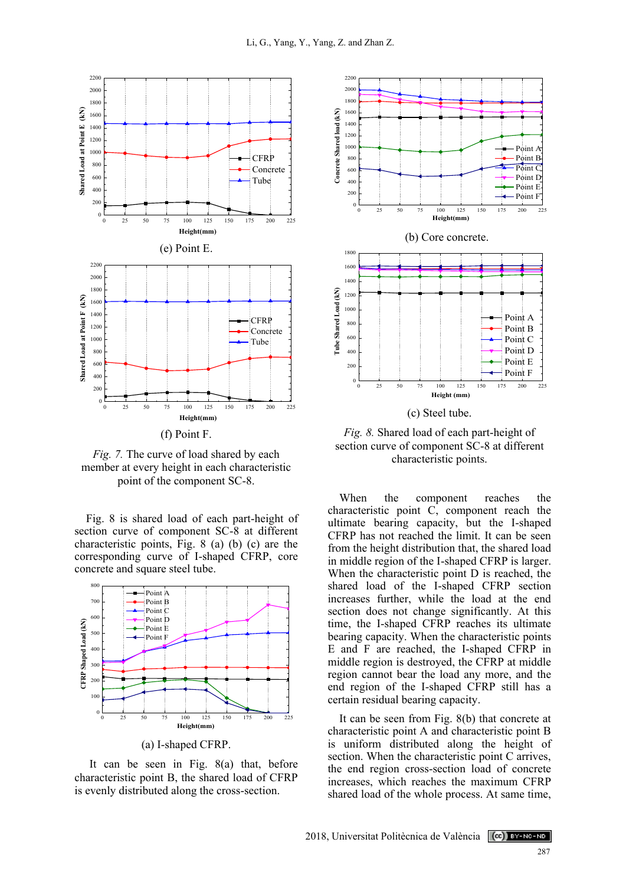

*Fig. 7.* The curve of load shared by each member at every height in each characteristic point of the component SC-8.

Fig. 8 is shared load of each part-height of section curve of component SC-8 at different characteristic points, Fig. 8 (a) (b) (c) are the corresponding curve of I-shaped CFRP, core concrete and square steel tube.



It can be seen in Fig. 8(a) that, before characteristic point B, the shared load of CFRP is evenly distributed along the cross-section.



*Fig. 8.* Shared load of each part-height of section curve of component SC-8 at different characteristic points.

Consider the component of the same of the same of the same of the same of the same of the same of the same of the same of the same of the same of the same of the same of the same of the same of the same of the same of the When the component reaches the characteristic point C, component reach the ultimate bearing capacity, but the I-shaped CFRP has not reached the limit. It can be seen from the height distribution that, the shared load in middle region of the I-shaped CFRP is larger. When the characteristic point D is reached, the shared load of the I-shaped CFRP section increases further, while the load at the end section does not change significantly. At this time, the I-shaped CFRP reaches its ultimate bearing capacity. When the characteristic points E and F are reached, the I-shaped CFRP in middle region is destroyed, the CFRP at middle region cannot bear the load any more, and the end region of the I-shaped CFRP still has a certain residual bearing capacity.

It can be seen from Fig. 8(b) that concrete at characteristic point A and characteristic point B is uniform distributed along the height of section. When the characteristic point C arrives, the end region cross-section load of concrete increases, which reaches the maximum CFRP shared load of the whole process. At same time,